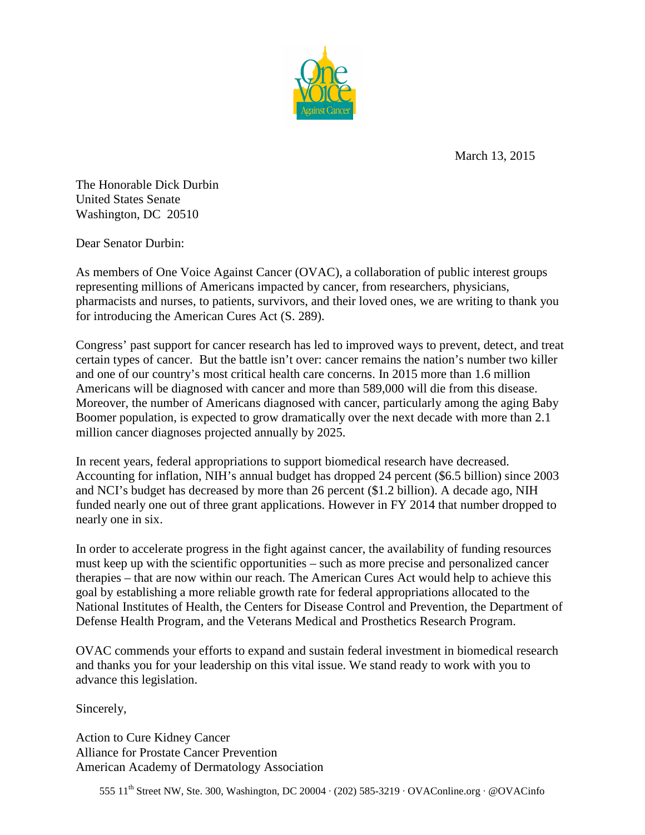

March 13, 2015

The Honorable Dick Durbin United States Senate Washington, DC 20510

Dear Senator Durbin:

As members of One Voice Against Cancer (OVAC), a collaboration of public interest groups representing millions of Americans impacted by cancer, from researchers, physicians, pharmacists and nurses, to patients, survivors, and their loved ones, we are writing to thank you for introducing the American Cures Act (S. 289).

Congress' past support for cancer research has led to improved ways to prevent, detect, and treat certain types of cancer. But the battle isn't over: cancer remains the nation's number two killer and one of our country's most critical health care concerns. In 2015 more than 1.6 million Americans will be diagnosed with cancer and more than 589,000 will die from this disease. Moreover, the number of Americans diagnosed with cancer, particularly among the aging Baby Boomer population, is expected to grow dramatically over the next decade with more than 2.1 million cancer diagnoses projected annually by 2025.

In recent years, federal appropriations to support biomedical research have decreased. Accounting for inflation, NIH's annual budget has dropped 24 percent (\$6.5 billion) since 2003 and NCI's budget has decreased by more than 26 percent (\$1.2 billion). A decade ago, NIH funded nearly one out of three grant applications. However in FY 2014 that number dropped to nearly one in six.

In order to accelerate progress in the fight against cancer, the availability of funding resources must keep up with the scientific opportunities – such as more precise and personalized cancer therapies – that are now within our reach. The American Cures Act would help to achieve this goal by establishing a more reliable growth rate for federal appropriations allocated to the National Institutes of Health, the Centers for Disease Control and Prevention, the Department of Defense Health Program, and the Veterans Medical and Prosthetics Research Program.

OVAC commends your efforts to expand and sustain federal investment in biomedical research and thanks you for your leadership on this vital issue. We stand ready to work with you to advance this legislation.

Sincerely,

Action to Cure Kidney Cancer Alliance for Prostate Cancer Prevention American Academy of Dermatology Association